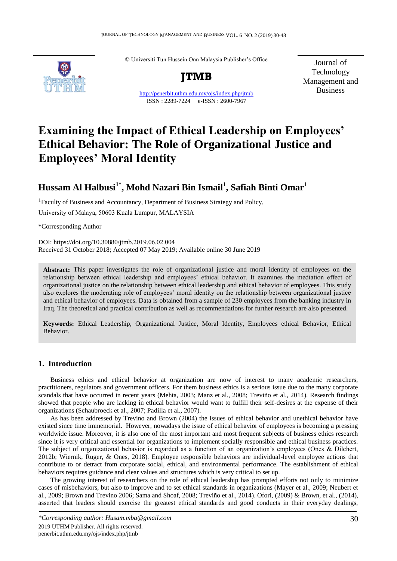© Universiti Tun Hussein Onn Malaysia Publisher's Office



**JTMB**

http://penerbit.uthm.edu.my/ojs/index.php/jtmb ISSN : 2289-7224 e-ISSN : 2600-7967

Journal of Technology Management and Business

# **Examining the Impact of Ethical Leadership on Employees' Ethical Behavior: The Role of Organizational Justice and Employees' Moral Identity**

## **Hussam Al Halbusi1\*, Mohd Nazari Bin Ismail<sup>1</sup> , Safiah Binti Omar<sup>1</sup>**

<sup>1</sup>Faculty of Business and Accountancy, Department of Business Strategy and Policy, University of Malaya, 50603 Kuala Lumpur, MALAYSIA

\*Corresponding Author

DOI: https://doi.org/10.30880/jtmb.2019.06.02.004 Received 31 October 2018; Accepted 07 May 2019; Available online 30 June 2019

**Abstract:** This paper investigates the role of organizational justice and moral identity of employees on the relationship between ethical leadership and employees' ethical behavior. It examines the mediation effect of organizational justice on the relationship between ethical leadership and ethical behavior of employees. This study also explores the moderating role of employees' moral identity on the relationship between organizational justice and ethical behavior of employees. Data is obtained from a sample of 230 employees from the banking industry in Iraq. The theoretical and practical contribution as well as recommendations for further research are also presented.

**Keywords:** Ethical Leadership, Organizational Justice, Moral Identity, Employees ethical Behavior, Ethical Behavior.

### **1. Introduction**

Business ethics and ethical behavior at organization are now of interest to many academic researchers, practitioners, regulators and government officers. For them business ethics is a serious issue due to the many corporate scandals that have occurred in recent years (Mehta, 2003; Manz et al., 2008; Treviño et al., 2014). Research findings showed that people who are lacking in ethical behavior would want to fulfill their self-desires at the expense of their organizations (Schaubroeck et al., 2007; Padilla et al., 2007).

As has been addressed by Trevino and Brown (2004) the issues of ethical behavior and unethical behavior have existed since time immemorial. However, nowadays the issue of ethical behavior of employees is becoming a pressing worldwide issue. Moreover, it is also one of the most important and most frequent subjects of business ethics research since it is very critical and essential for organizations to implement socially responsible and ethical business practices. The subject of organizational behavior is regarded as a function of an organization's employees (Ones & Dilchert, 2012b; Wiernik, Ruger, & Ones, 2018). Employee responsible behaviors are individual-level employee actions that contribute to or detract from corporate social, ethical, and environmental performance. The establishment of ethical behaviors requires guidance and clear values and structures which is very critical to set up.

The growing interest of researchers on the role of ethical leadership has prompted efforts not only to minimize cases of misbehaviors, but also to improve and to set ethical standards in organizations (Mayer et al., 2009; Neubert et al., 2009; Brown and Trevino 2006; Sama and Shoaf, 2008; Treviño et al., 2014). Ofori, (2009) & Brown, et al., (2014), asserted that leaders should exercise the greatest ethical standards and good conducts in their everyday dealings,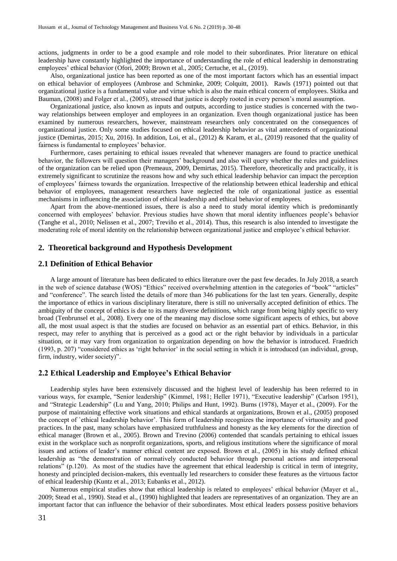actions, judgments in order to be a good example and role model to their subordinates. Prior literature on ethical leadership have constantly highlighted the importance of understanding the role of ethical leadership in demonstrating employees' ethical behavior (Ofori, 2009; Brown et al., 2005; Certuche, et al., (2019).

Also, organizational justice has been reported as one of the most important factors which has an essential impact on ethical behavior of employees (Ambrose and Schminke, 2009; Colquitt, 2001). Rawls (1971) pointed out that organizational justice is a fundamental value and virtue which is also the main ethical concern of employees. Skitka and Bauman, (2008) and Folger et al., (2005), stressed that justice is deeply rooted in every person's moral assumption.

Organizational justice, also known as inputs and outputs, according to justice studies is concerned with the twoway relationships between employer and employees in an organization. Even though organizational justice has been examined by numerous researchers, however, mainstream researchers only concentrated on the consequences of organizational justice. Only some studies focused on ethical leadership behavior as vital antecedents of organizational justice (Demirtas, 2015; Xu, 2016). In addition, Loi, et al., (2012) & Karam, et al., (2019) reasoned that the quality of fairness is fundamental to employees' behavior.

Furthermore, cases pertaining to ethical issues revealed that whenever managers are found to practice unethical behavior, the followers will question their managers' background and also will query whether the rules and guidelines of the organization can be relied upon (Premeaux, 2009, Demirtas, 2015). Therefore, theoretically and practically, it is extremely significant to scrutinize the reasons how and why such ethical leadership behavior can impact the perception of employees' fairness towards the organization. Irrespective of the relationship between ethical leadership and ethical behavior of employees, management researchers have neglected the role of organizational justice as essential mechanisms in influencing the association of ethical leadership and ethical behavior of employees.

Apart from the above-mentioned issues, there is also a need to study moral identity which is predominantly concerned with employees' behavior. Previous studies have shown that moral identity influences people's behavior (Tanghe et al., 2010; Nelissen et al., 2007; Treviño et al., 2014). Thus, this research is also intended to investigate the moderating role of moral identity on the relationship between organizational justice and employee's ethical behavior.

#### **2. Theoretical background and Hypothesis Development**

#### **2.1 Definition of Ethical Behavior**

A large amount of literature has been dedicated to ethics literature over the past few decades. In July 2018, a search in the web of science database (WOS) "Ethics" received overwhelming attention in the categories of "book" "articles" and "conference". The search listed the details of more than 346 publications for the last ten years. Generally, despite the importance of ethics in various disciplinary literature, there is still no universally accepted definition of ethics. The ambiguity of the concept of ethics is due to its many diverse definitions, which range from being highly specific to very broad (Tenbrunsel et al., 2008). Every one of the meaning may disclose some significant aspects of ethics, but above all, the most usual aspect is that the studies are focused on behavior as an essential part of ethics. Behavior, in this respect, may refer to anything that is perceived as a good act or the right behavior by individuals in a particular situation, or it may vary from organization to organization depending on how the behavior is introduced. Fraedrich (1993, p. 207) "considered ethics as 'right behavior' in the social setting in which it is introduced (an individual, group, firm, industry, wider society)".

#### **2.2 Ethical Leadership and Employee's Ethical Behavior**

Leadership styles have been extensively discussed and the highest level of leadership has been referred to in various ways, for example, "Senior leadership" (Kimmel, 1981; Heller 1971), "Executive leadership" (Carlson 1951), and "Strategic Leadership" (Lu and Yang, 2010; Philips and Hunt, 1992). Burns (1978), Mayer et al., (2009). For the purpose of maintaining effective work situations and ethical standards at organizations, Brown et al., (2005) proposed the concept of `ethical leadership behavior'. This form of leadership recognizes the importance of virtuosity and good practices. In the past, many scholars have emphasized truthfulness and honesty as the key elements for the direction of ethical manager (Brown et al., 2005). Brown and Trevino (2006) contended that scandals pertaining to ethical issues exist in the workplace such as nonprofit organizations, sports, and religious institutions where the significance of moral issues and actions of leader's manner ethical content are exposed. Brown et al., (2005) in his study defined ethical leadership as "the demonstration of normatively conducted behavior through personal actions and interpersonal relations" (p.120). As most of the studies have the agreement that ethical leadership is critical in term of integrity, honesty and principled decision-makers, this eventually led researchers to consider these features as the virtuous factor of ethical leadership (Kuntz et al., 2013; Eubanks et al., 2012).

Numerous empirical studies show that ethical leadership is related to employees' ethical behavior (Mayer et al., 2009; Stead et al., 1990). Stead et al., (1990) highlighted that leaders are representatives of an organization. They are an important factor that can influence the behavior of their subordinates. Most ethical leaders possess positive behaviors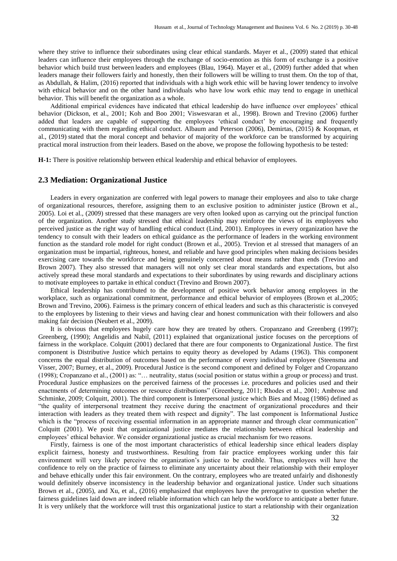where they strive to influence their subordinates using clear ethical standards. Mayer et al., (2009) stated that ethical leaders can influence their employees through the exchange of socio-emotion as this form of exchange is a positive behavior which build trust between leaders and employees (Blau, 1964). Mayer et al., (2009) further added that when leaders manage their followers fairly and honestly, then their followers will be willing to trust them. On the top of that, as Abdullah, & Halim, (2016) reported that individuals with a high work ethic will be having lower tendency to involve with ethical behavior and on the other hand individuals who have low work ethic may tend to engage in unethical behavior. This will benefit the organization as a whole.

Additional empirical evidences have indicated that ethical leadership do have influence over employees' ethical behavior (Dickson, et al., 2001; Koh and Boo 2001; Viswesvaran et al., 1998). Brown and Trevino (2006) further added that leaders are capable of supporting the employees 'ethical conduct' by encouraging and frequently communicating with them regarding ethical conduct. Albaum and Peterson (2006), Demirtas, (2015) & Koopman, et al., (2019) stated that the moral concept and behavior of majority of the workforce can be transformed by acquiring practical moral instruction from their leaders. Based on the above, we propose the following hypothesis to be tested:

**H-1:** There is positive relationship between ethical leadership and ethical behavior of employees.

#### **2.3 Mediation: Organizational Justice**

Leaders in every organization are conferred with legal powers to manage their employees and also to take charge of organizational resources, therefore, assigning them to an exclusive position to administer justice (Brown et al., 2005). Loi et al., (2009) stressed that these managers are very often looked upon as carrying out the principal function of the organization. Another study stressed that ethical leadership may reinforce the views of its employees who perceived justice as the right way of handling ethical conduct (Lind, 2001). Employees in every organization have the tendency to consult with their leaders on ethical guidance as the performance of leaders in the working environment function as the standard role model for right conduct (Brown et al., 2005). Trevion et al stressed that managers of an organization must be impartial, righteous, honest, and reliable and have good principles when making decisions besides exercising care towards the workforce and being genuinely concerned about means rather than ends (Trevino and Brown 2007). They also stressed that managers will not only set clear moral standards and expectations, but also actively spread these moral standards and expectations to their subordinates by using rewards and disciplinary actions to motivate employees to partake in ethical conduct (Trevino and Brown 2007).

Ethical leadership has contributed to the development of positive work behavior among employees in the workplace, such as organizational commitment, performance and ethical behavior of employees (Brown et al.,2005; Brown and Trevino, 2006). Fairness is the primary concern of ethical leaders and such as this characteristic is conveyed to the employees by listening to their views and having clear and honest communication with their followers and also making fair decision (Neubert et al., 2009).

It is obvious that employees hugely care how they are treated by others. Cropanzano and Greenberg (1997); Greenberg, (1990); Angelidis and Nabil, (2011) explained that organizational justice focuses on the perceptions of fairness in the workplace. Colquitt (2001) declared that there are four components to Organizational Justice. The first component is Distributive Justice which pertains to equity theory as developed by Adams (1963). This component concerns the equal distribution of outcomes based on the performance of every individual employee (Steensma and Visser, 2007; Burney, et al., 2009). Procedural Justice is the second component and defined by Folger and Cropanzano (1998); Cropanzano et al., (2001) as: "… neutrality, status (social position or status within a group or process) and trust. Procedural Justice emphasizes on the perceived fairness of the processes i.e. procedures and policies used and their enactments of determining outcomes or resource distributions" (Greenberg, 2011; Rhodes et al., 2001; Ambrose and Schminke, 2009; Colquitt, 2001). The third component is Interpersonal justice which Bies and Moag (1986) defined as "the quality of interpersonal treatment they receive during the enactment of organizational procedures and their interaction with leaders as they treated them with respect and dignity". The last component is Informational Justice which is the "process of receiving essential information in an appropriate manner and through clear communication" Colquitt (2001). We posit that organizational justice mediates the relationship between ethical leadership and employees' ethical behavior. We consider organizational justice as crucial mechanism for two reasons.

Firstly, fairness is one of the most important characteristics of ethical leadership since ethical leaders display explicit fairness, honesty and trustworthiness. Resulting from fair practice employees working under this fair environment will very likely perceive the organization's justice to be credible. Thus, employees will have the confidence to rely on the practice of fairness to eliminate any uncertainty about their relationship with their employer and behave ethically under this fair environment. On the contrary, employees who are treated unfairly and dishonestly would definitely observe inconsistency in the leadership behavior and organizational justice. Under such situations Brown et al., (2005), and Xu, et al., (2016) emphasized that employees have the prerogative to question whether the fairness guidelines laid down are indeed reliable information which can help the workforce to anticipate a better future. It is very unlikely that the workforce will trust this organizational justice to start a relationship with their organization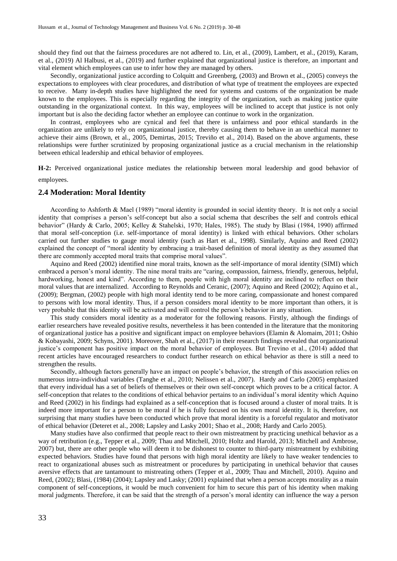should they find out that the fairness procedures are not adhered to. Lin, et al., (2009), Lambert, et al., (2019), Karam, et al., (2019) Al Halbusi, et al., (2019) and further explained that organizational justice is therefore, an important and vital element which employees can use to infer how they are managed by others.

Secondly, organizational justice according to Colquitt and Greenberg, (2003) and Brown et al., (2005) conveys the expectations to employees with clear procedures, and distribution of what type of treatment the employees are expected to receive. Many in-depth studies have highlighted the need for systems and customs of the organization be made known to the employees. This is especially regarding the integrity of the organization, such as making justice quite outstanding in the organizational context. In this way, employees will be inclined to accept that justice is not only important but is also the deciding factor whether an employee can continue to work in the organization.

In contrast, employees who are cynical and feel that there is unfairness and poor ethical standards in the organization are unlikely to rely on organizational justice, thereby causing them to behave in an unethical manner to achieve their aims (Brown, et al., 2005, Demirtas, 2015; Treviño et al., 2014). Based on the above arguments, these relationships were further scrutinized by proposing organizational justice as a crucial mechanism in the relationship between ethical leadership and ethical behavior of employees.

**H-2:** Perceived organizational justice mediates the relationship between moral leadership and good behavior of employees.

### **2.4 Moderation: Moral Identity**

According to Ashforth & Mael (1989) "moral identity is grounded in social identity theory. It is not only a social identity that comprises a person's self-concept but also a social schema that describes the self and controls ethical behavior" (Hardy & Carlo, 2005; Kelley & Stahelski, 1970; Hales, 1985). The study by Blasi (1984, 1990) affirmed that moral self-conception (i.e. self-importance of moral identity) is linked with ethical behaviors. Other scholars carried out further studies to gauge moral identity (such as Hart et al., 1998). Similarly, Aquino and Reed (2002) explained the concept of "moral identity by embracing a trait-based definition of moral identity as they assumed that there are commonly accepted moral traits that comprise moral values".

Aquino and Reed (2002) identified nine moral traits, known as the self-importance of moral identity (SIMI) which embraced a person's moral identity. The nine moral traits are "caring, compassion, fairness, friendly, generous, helpful, hardworking, honest and kind". According to them, people with high moral identity are inclined to reflect on their moral values that are internalized. According to Reynolds and Ceranic, (2007); Aquino and Reed (2002); Aquino et al., (2009); Bergman, (2002) people with high moral identity tend to be more caring, compassionate and honest compared to persons with low moral identity. Thus, if a person considers moral identity to be more important than others, it is very probable that this identity will be activated and will control the person's behavior in any situation.

This study considers moral identity as a moderator for the following reasons. Firstly, although the findings of earlier researchers have revealed positive results, nevertheless it has been contended in the literature that the monitoring of organizational justice has a positive and significant impact on employee behaviors (Elamin & Alomaim, 2011; Oshio & Kobayashi, 2009; Schyns, 2001). Moreover, Shah et al., (2017) in their research findings revealed that organizational justice's component has positive impact on the moral behavior of employees. But Trevino et al., (2014) added that recent articles have encouraged researchers to conduct further research on ethical behavior as there is still a need to strengthen the results.

Secondly, although factors generally have an impact on people's behavior, the strength of this association relies on numerous intra-individual variables (Tanghe et al., 2010; Nelissen et al., 2007). Hardy and Carlo (2005) emphasized that every individual has a set of beliefs of themselves or their own self-concept which proves to be a critical factor. A self-conception that relates to the conditions of ethical behavior pertains to an individual's moral identity which Aquino and Reed (2002) in his findings had explained as a self-conception that is focused around a cluster of moral traits. It is indeed more important for a person to be moral if he is fully focused on his own moral identity. It is, therefore, not surprising that many studies have been conducted which prove that moral identity is a forceful regulator and motivator of ethical behavior (Deteret et al., 2008; Lapsley and Lasky 2001; Shao et al., 2008; Hardy and Carlo 2005).

Many studies have also confirmed that people react to their own mistreatment by practicing unethical behavior as a way of retribution (e.g., Tepper et al., 2009; Thau and Mitchell, 2010; Holtz and Harold, 2013; Mitchell and Ambrose, 2007) but, there are other people who will deem it to be dishonest to counter to third-party mistreatment by exhibiting expected behaviors. Studies have found that persons with high moral identity are likely to have weaker tendencies to react to organizational abuses such as mistreatment or procedures by participating in unethical behavior that causes aversive effects that are tantamount to mistreating others (Tepper et al., 2009; Thau and Mitchell, 2010). Aquino and Reed, (2002); Blasi, (1984) (2004); Lapsley and Lasky; (2001) explained that when a person accepts morality as a main component of self-conceptions, it would be much convenient for him to secure this part of his identity when making moral judgments. Therefore, it can be said that the strength of a person's moral identity can influence the way a person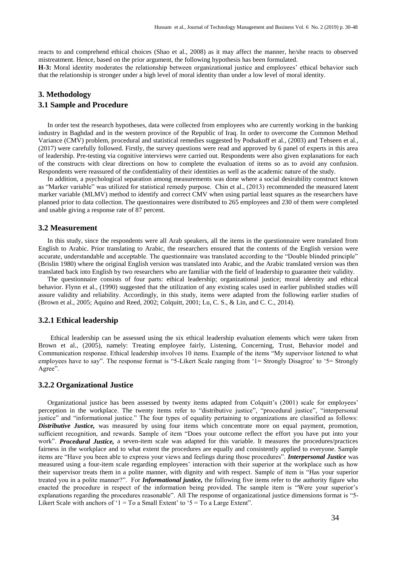reacts to and comprehend ethical choices (Shao et al., 2008) as it may affect the manner, he/she reacts to observed mistreatment. Hence, based on the prior argument, the following hypothesis has been formulated.

**H-3:** Moral identity moderates the relationship between organizational justice and employees' ethical behavior such that the relationship is stronger under a high level of moral identity than under a low level of moral identity.

## **3. Methodology**

### **3.1 Sample and Procedure**

In order test the research hypotheses, data were collected from employees who are currently working in the banking industry in Baghdad and in the western province of the Republic of Iraq. In order to overcome the Common Method Variance (CMV) problem, procedural and statistical remedies suggested by Podsakoff et al., (2003) and Tehseen et al., (2017) were carefully followed. Firstly, the survey questions were read and approved by 6 panel of experts in this area of leadership. Pre-testing via cognitive interviews were carried out. Respondents were also given explanations for each of the constructs with clear directions on how to complete the evaluation of items so as to avoid any confusion. Respondents were reassured of the confidentiality of their identities as well as the academic nature of the study.

In addition, a psychological separation among measurements was done where a social desirability construct known as "Marker variable" was utilized for statistical remedy purpose. Chin et al., (2013) recommended the measured latent marker variable (MLMV) method to identify and correct CMV when using partial least squares as the researchers have planned prior to data collection. The questionnaires were distributed to 265 employees and 230 of them were completed and usable giving a response rate of 87 percent.

#### **3.2 Measurement**

In this study, since the respondents were all Arab speakers, all the items in the questionnaire were translated from English to Arabic. Prior translating to Arabic, the researchers ensured that the contents of the English version were accurate, understandable and acceptable. The questionnaire was translated according to the "Double blinded principle" (Brislin 1980) where the original English version was translated into Arabic, and the Arabic translated version was then translated back into English by two researchers who are familiar with the field of leadership to guarantee their validity.

The questionnaire consists of four parts: ethical leadership; organizational justice; moral identity and ethical behavior. Flynn et al., (1990) suggested that the utilization of any existing scales used in earlier published studies will assure validity and reliability. Accordingly, in this study, items were adapted from the following earlier studies of (Brown et al., 2005; Aquino and Reed, 2002; Colquitt, 2001; Lu, C. S., & Lin, and C. C., 2014).

#### **3.2.1 Ethical leadership**

Ethical leadership can be assessed using the six ethical leadership evaluation elements which were taken from Brown et al., (2005), namely: Treating employee fairly, Listening, Concerning, Trust, Behavior model and Communication response. Ethical leadership involves 10 items. Example of the items "My supervisor listened to what employees have to say". The response format is "5-Likert Scale ranging from '1= Strongly Disagree' to '5= Strongly Agree".

#### **3.2.2 Organizational Justice**

Organizational justice has been assessed by twenty items adapted from Colquitt's (2001) scale for employees' perception in the workplace. The twenty items refer to "distributive justice", "procedural justice", "interpersonal justice" and "informational justice." The four types of equality pertaining to organizations are classified as follows: *Distributive Justice,* was measured by using four items which concentrate more on equal payment, promotion, sufficient recognition, and rewards. Sample of item "Does your outcome reflect the effort you have put into your work". *Procedural Justice,* a seven-item scale was adapted for this variable. It measures the procedures/practices fairness in the workplace and to what extent the procedures are equally and consistently applied to everyone. Sample items are "Have you been able to express your views and feelings during those procedures". *Interpersonal Justice* was measured using a four-item scale regarding employees' interaction with their superior at the workplace such as how their supervisor treats them in a polite manner, with dignity and with respect. Sample of item is "Has your superior treated you in a polite manner?". For *Informational justice,* the following five items refer to the authority figure who enacted the procedure in respect of the information being provided. The sample item is "Were your superior's explanations regarding the procedures reasonable". All The response of organizational justice dimensions format is "5- Likert Scale with anchors of ' $1 = To$  a Small Extent' to ' $5 = To$  a Large Extent''.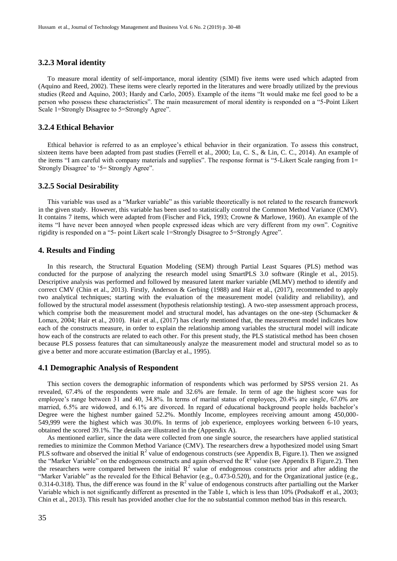#### **3.2.3 Moral identity**

To measure moral identity of self-importance, moral identity (SIMI) five items were used which adapted from (Aquino and Reed, 2002). These items were clearly reported in the literatures and were broadly utilized by the previous studies (Reed and Aquino, 2003; Hardy and Carlo, 2005). Example of the items "It would make me feel good to be a person who possess these characteristics". The main measurement of moral identity is responded on a "5-Point Likert Scale 1=Strongly Disagree to 5=Strongly Agree".

#### **3.2.4 Ethical Behavior**

Ethical behavior is referred to as an employee's ethical behavior in their organization. To assess this construct, sixteen items have been adapted from past studies (Ferrell et al., 2000; Lu, C. S., & Lin, C. C., 2014). An example of the items "I am careful with company materials and supplies". The response format is "5-Likert Scale ranging from 1= Strongly Disagree' to '5= Strongly Agree".

#### **3.2.5 Social Desirability**

This variable was used as a "Marker variable" as this variable theoretically is not related to the research framework in the given study. However, this variable has been used to statistically control the Common Method Variance (CMV). It contains 7 items, which were adapted from (Fischer and Fick, 1993; Crowne & Marlowe, 1960). An example of the items "I have never been annoyed when people expressed ideas which are very different from my own". Cognitive rigidity is responded on a "5- point Likert scale 1=Strongly Disagree to 5=Strongly Agree".

#### **4. Results and Finding**

In this research, the Structural Equation Modeling (SEM) through Partial Least Squares (PLS) method was conducted for the purpose of analyzing the research model using SmartPLS 3.0 software (Ringle et al., 2015). Descriptive analysis was performed and followed by measured latent marker variable (MLMV) method to identify and correct CMV (Chin et al., 2013). Firstly, Anderson & Gerbing (1988) and Hair et al., (2017), recommended to apply two analytical techniques; starting with the evaluation of the measurement model (validity and reliability), and followed by the structural model assessment (hypothesis relationship testing). A two-step assessment approach process, which comprise both the measurement model and structural model, has advantages on the one-step (Schumacker  $\&$ Lomax, 2004; Hair et al., 2010). Hair et al., (2017) has clearly mentioned that, the measurement model indicates how each of the constructs measure, in order to explain the relationship among variables the structural model will indicate how each of the constructs are related to each other. For this present study, the PLS statistical method has been chosen because PLS possess features that can simultaneously analyze the measurement model and structural model so as to give a better and more accurate estimation (Barclay et al., 1995).

#### **4.1 Demographic Analysis of Respondent**

This section covers the demographic information of respondents which was performed by SPSS version 21. As revealed, 67.4% of the respondents were male and 32.6% are female. In term of age the highest score was for employee's range between 31 and 40, 34.8%. In terms of marital status of employees, 20.4% are single, 67.0% are married, 6.5% are widowed, and 6.1% are divorced. In regard of educational background people holds bachelor's Degree were the highest number gained 52.2%. Monthly Income, employees receiving amount among 450,000- 549,999 were the highest which was 30.0%. In terms of job experience, employees working between 6-10 years, obtained the scored 39.1%. The details are illustrated in the (Appendix A).

As mentioned earlier, since the data were collected from one single source, the researchers have applied statistical remedies to minimize the Common Method Variance (CMV). The researchers drew a hypothesized model using Smart PLS software and observed the initial  $R^2$  value of endogenous constructs (see Appendix B, Figure.1). Then we assigned the "Marker Variable" on the endogenous constructs and again observed the  $R^2$  value (see Appendix B Figure.2). Then the researchers were compared between the initial  $R^2$  value of endogenous constructs prior and after adding the "Marker Variable" as the revealed for the Ethical Behavior (e.g., 0.473-0.520), and for the Organizational justice (e.g., 0.314-0.318). Thus, the difference was found in the  $R^2$  value of endogenous constructs after partialling out the Marker Variable which is not significantly different as presented in the Table 1, which is less than 10% (Podsakoff et al., 2003; Chin et al., 2013). This result has provided another clue for the no substantial common method bias in this research.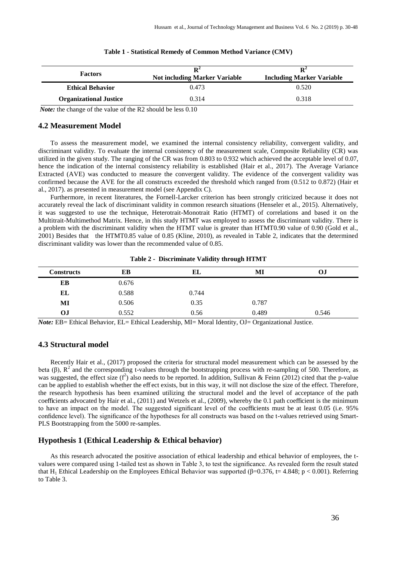| <b>Factors</b>                | $\mathbf{R}^2$<br><b>Not including Marker Variable</b> | $\mathbf{R}^2$<br><b>Including Marker Variable</b> |  |  |
|-------------------------------|--------------------------------------------------------|----------------------------------------------------|--|--|
| <b>Ethical Behavior</b>       | 0.473                                                  | 0.520                                              |  |  |
| <b>Organizational Justice</b> | 0.314                                                  | 0.318                                              |  |  |

#### **Table 1 - Statistical Remedy of Common Method Variance (CMV)**

*Note:* the change of the value of the R2 should be less 0.10

#### **4.2 Measurement Model**

To assess the measurement model, we examined the internal consistency reliability, convergent validity, and discriminant validity. To evaluate the internal consistency of the measurement scale, Composite Reliability (CR) was utilized in the given study. The ranging of the CR was from 0.803 to 0.932 which achieved the acceptable level of 0.07, hence the indication of the internal consistency reliability is established (Hair et al., 2017). The Average Variance Extracted (AVE) was conducted to measure the convergent validity. The evidence of the convergent validity was confirmed because the AVE for the all constructs exceeded the threshold which ranged from (0.512 to 0.872) (Hair et al., 2017). as presented in measurement model (see Appendix C).

Furthermore, in recent literatures, the Fornell-Larcker criterion has been strongly criticized because it does not accurately reveal the lack of discriminant validity in common research situations (Henseler et al., 2015). Alternatively, it was suggested to use the technique, Heterotrait-Monotrait Ratio (HTMT) of correlations and based it on the Multitrait-Multimethod Matrix. Hence, in this study HTMT was employed to assess the discriminant validity. There is a problem with the discriminant validity when the HTMT value is greater than HTMT0.90 value of 0.90 (Gold et al., 2001) Besides that the HTMT0.85 value of 0.85 (Kline, 2010), as revealed in Table 2, indicates that the determined discriminant validity was lower than the recommended value of 0.85.

**Table 2 - Discriminate Validity through HTMT**

| <b>Constructs</b> | EB    | EL    | MI    | OJ    |
|-------------------|-------|-------|-------|-------|
| EB                | 0.676 |       |       |       |
| EL                | 0.588 | 0.744 |       |       |
| MI                | 0.506 | 0.35  | 0.787 |       |
| OJ                | 0.552 | 0.56  | 0.489 | 0.546 |

*Note:* EB= Ethical Behavior, EL= Ethical Leadership, MI= Moral Identity, OJ= Organizational Justice.

#### **4.3 Structural model**

Recently Hair et al., (2017) proposed the criteria for structural model measurement which can be assessed by the beta ( $\beta$ ),  $R^2$  and the corresponding t-values through the bootstrapping process with re-sampling of 500. Therefore, as was suggested, the effect size  $(f^2)$  also needs to be reported. In addition, Sullivan & Feinn (2012) cited that the p-value can be applied to establish whether the eff ect exists, but in this way, it will not disclose the size of the effect. Therefore, the research hypothesis has been examined utilizing the structural model and the level of acceptance of the path coefficients advocated by Hair et al., (2011) and Wetzels et al., (2009), whereby the 0.1 path coefficient is the minimum to have an impact on the model. The suggested significant level of the coefficients must be at least 0.05 (i.e. 95% confidence level). The significance of the hypotheses for all constructs was based on the t-values retrieved using Smart-PLS Bootstrapping from the 5000 re-samples.

#### **Hypothesis 1 (Ethical Leadership & Ethical behavior)**

As this research advocated the positive association of ethical leadership and ethical behavior of employees, the tvalues were compared using 1-tailed test as shown in Table 3, to test the significance. As revealed form the result stated that H<sub>1</sub> Ethical Leadership on the Employees Ethical Behavior was supported ( $\beta$ =0.376, t=4.848; p < 0.001). Referring to Table 3.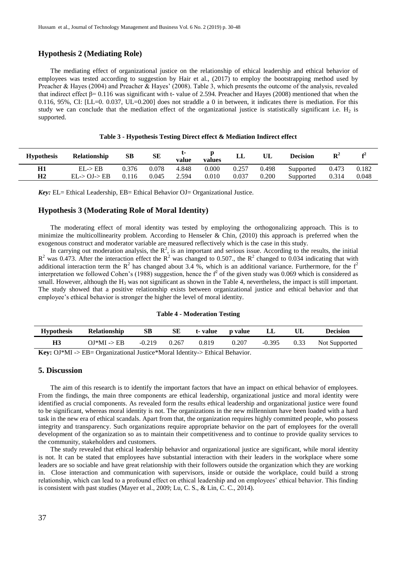#### **Hypothesis 2 (Mediating Role)**

The mediating effect of organizational justice on the relationship of ethical leadership and ethical behavior of employees was tested according to suggestion by Hair et al., (2017) to employ the bootstrapping method used by Preacher & Hayes (2004) and Preacher & Hayes' (2008). Table 3, which presents the outcome of the analysis, revealed that indirect effect  $\beta$ = 0.116 was significant with t- value of 2.594. Preacher and Hayes (2008) mentioned that when the  $0.116$ ,  $95\%$ , CI: [LL=0.  $0.037$ , UL=0.200] does not straddle a 0 in between, it indicates there is mediation. For this study we can conclude that the mediation effect of the organizational justice is statistically significant i.e.  $H_2$  is supported.

| <b>Hypothesis</b> | Relationship | SВ    | SЕ    | value | values | LL    | UL    | <b>Decision</b> | $\mathbf{R}^2$ | £4    |
|-------------------|--------------|-------|-------|-------|--------|-------|-------|-----------------|----------------|-------|
| H1                | $EL$ -> $EB$ | 0.376 | 0.078 | 4.848 | 0.000  | 0.257 | 0.498 | Supported       | 0.473          | 0.182 |
| H <sub>2</sub>    | EL > OJ > EB | 0.116 | 0.045 | 2.594 | 0.010  | 0.037 | 0.200 | Supported       | 0.314          | 0.048 |

**Table 3 - Hypothesis Testing Direct effect & Mediation Indirect effect**

*Key:* EL= Ethical Leadership, EB= Ethical Behavior OJ= Organizational Justice.

#### **Hypothesis 3 (Moderating Role of Moral Identity)**

The moderating effect of moral identity was tested by employing the orthogonalizing approach. This is to minimize the multicollinearity problem. According to Henseler & Chin,  $(2010)$  this approach is preferred when the exogenous construct and moderator variable are measured reflectively which is the case in this study.

In carrying out moderation analysis, the  $R^2$ , is an important and serious issue. According to the results, the initial  $R^2$  was 0.473. After the interaction effect the  $R^2$  was changed to 0.507., the  $R^2$  changed to 0.034 indicating that with additional interaction term the  $R^2$  has changed about 3.4 %, which is an additional variance. Furthermore, for the  $f^2$ interpretation we followed Cohen's (1988) suggestion, hence the  $f<sup>2</sup>$  of the given study was 0.069 which is considered as small. However, although the  $H_3$  was not significant as shown in the Table 4, nevertheless, the impact is still important. The study showed that a positive relationship exists between organizational justice and ethical behavior and that employee's ethical behavior is stronger the higher the level of moral identity.

#### **Table 4 - Moderation Testing**

| <b>Hypothesis</b> | Relationship                                                                                                                                                                                                                                                                                           | SВ       | SЕ    |       | t-value p value | LL       | UL   | Decision      |
|-------------------|--------------------------------------------------------------------------------------------------------------------------------------------------------------------------------------------------------------------------------------------------------------------------------------------------------|----------|-------|-------|-----------------|----------|------|---------------|
| <b>H3</b>         | $OJ*MI \rightarrow EB$                                                                                                                                                                                                                                                                                 | $-0.219$ | 0.267 | 0.819 | 0.207           | $-0.395$ | 0.33 | Not Supported |
|                   | $\mathbf{I}$ $\mathbf{Z}$ and $\mathbf{Q}$ and $\mathbf{Z}$ and $\mathbf{Z}$ are $\mathbf{Z}$ and $\mathbf{Z}$ and $\mathbf{Z}$ are $\mathbf{Z}$ and $\mathbf{Z}$ are $\mathbf{Z}$ and $\mathbf{Z}$ are $\mathbf{Z}$ and $\mathbf{Z}$ are $\mathbf{Z}$ and $\mathbf{Z}$ are $\mathbf{Z}$ and $\mathbf$ |          |       |       |                 |          |      |               |

**Key:** OJ\*MI -> EB= Organizational Justice\*Moral Identity-> Ethical Behavior.

#### **5. Discussion**

The aim of this research is to identify the important factors that have an impact on ethical behavior of employees. From the findings, the main three components are ethical leadership, organizational justice and moral identity were identified as crucial components. As revealed form the results ethical leadership and organizational justice were found to be significant, whereas moral identity is not. The organizations in the new millennium have been loaded with a hard task in the new era of ethical scandals. Apart from that, the organization requires highly committed people, who possess integrity and transparency. Such organizations require appropriate behavior on the part of employees for the overall development of the organization so as to maintain their competitiveness and to continue to provide quality services to the community, stakeholders and customers.

The study revealed that ethical leadership behavior and organizational justice are significant, while moral identity is not. It can be stated that employees have substantial interaction with their leaders in the workplace where some leaders are so sociable and have great relationship with their followers outside the organization which they are working in. Close interaction and communication with supervisors, inside or outside the workplace, could build a strong relationship, which can lead to a profound effect on ethical leadership and on employees' ethical behavior. This finding is consistent with past studies (Mayer et al., 2009; Lu, C. S., & Lin, C. C., 2014).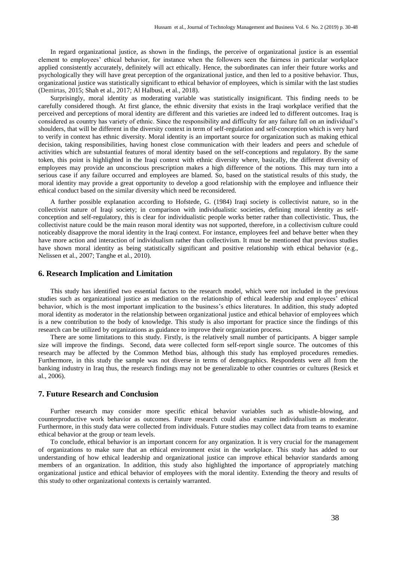In regard organizational justice, as shown in the findings, the perceive of organizational justice is an essential element to employees' ethical behavior, for instance when the followers seen the fairness in particular workplace applied consistently accurately, definitely will act ethically. Hence, the subordinates can infer their future works and psychologically they will have great perception of the organizational justice, and then led to a positive behavior. Thus, organizational justice was statistically significant to ethical behavior of employees, which is similar with the last studies (Demirtas, 2015; Shah et al., 2017; Al Halbusi, et al., 2018).

Surprisingly, moral identity as moderating variable was statistically insignificant. This finding needs to be carefully considered though. At first glance, the ethnic diversity that exists in the Iraqi workplace verified that the perceived and perceptions of moral identity are different and this varieties are indeed led to different outcomes. Iraq is considered as country has variety of ethnic. Since the responsibility and difficulty for any failure fall on an individual's shoulders, that will be different in the diversity context in term of self-regulation and self-conception which is very hard to verify in context has ethnic diversity. Moral identity is an important source for organization such as making ethical decision, taking responsibilities, having honest close communication with their leaders and peers and schedule of activities which are substantial features of moral identity based on the self-conceptions and regulatory. By the same token, this point is highlighted in the Iraqi context with ethnic diversity where, basically, the different diversity of employees may provide an unconscious prescription makes a high difference of the notions. This may turn into a serious case if any failure occurred and employees are blamed. So, based on the statistical results of this study, the moral identity may provide a great opportunity to develop a good relationship with the employee and influence their ethical conduct based on the similar diversity which need be reconsidered.

A further possible explanation according to Hofstede, G. (1984) Iraqi society is collectivist nature, so in the collectivist nature of Iraqi society; in comparison with individualistic societies, defining moral identity as selfconception and self-regulatory, this is clear for individualistic people works better rather than collectivistic. Thus, the collectivist nature could be the main reason moral identity was not supported, therefore, in a collectivism culture could noticeably disapprove the moral identity in the Iraqi context. For instance, employees feel and behave better when they have more action and interaction of individualism rather than collectivism. It must be mentioned that previous studies have shown moral identity as being statistically significant and positive relationship with ethical behavior (e.g., Nelissen et al., 2007; Tanghe et al., 2010).

#### **6. Research Implication and Limitation**

This study has identified two essential factors to the research model, which were not included in the previous studies such as organizational justice as mediation on the relationship of ethical leadership and employees' ethical behavior, which is the most important implication to the business's ethics literatures. In addition, this study adopted moral identity as moderator in the relationship between organizational justice and ethical behavior of employees which is a new contribution to the body of knowledge. This study is also important for practice since the findings of this research can be utilized by organizations as guidance to improve their organization process.

There are some limitations to this study. Firstly, is the relatively small number of participants. A bigger sample size will improve the findings. Second, data were collected form self-report single source. The outcomes of this research may be affected by the Common Method bias, although this study has employed procedures remedies. Furthermore, in this study the sample was not diverse in terms of demographics. Respondents were all from the banking industry in Iraq thus, the research findings may not be generalizable to other countries or cultures (Resick et al., 2006).

#### **7. Future Research and Conclusion**

Further research may consider more specific ethical behavior variables such as whistle-blowing, and counterproductive work behavior as outcomes. Future research could also examine individualism as moderator. Furthermore, in this study data were collected from individuals. Future studies may collect data from teams to examine ethical behavior at the group or team levels.

To conclude, ethical behavior is an important concern for any organization. It is very crucial for the management of organizations to make sure that an ethical environment exist in the workplace. This study has added to our understanding of how ethical leadership and organizational justice can improve ethical behavior standards among members of an organization. In addition, this study also highlighted the importance of appropriately matching organizational justice and ethical behavior of employees with the moral identity. Extending the theory and results of this study to other organizational contexts is certainly warranted.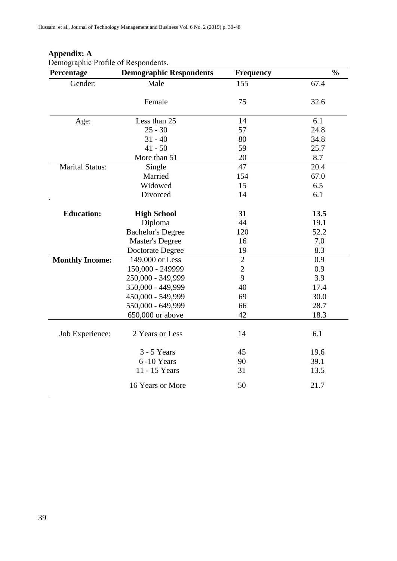| Percentage             | <b>Demographic Respondents</b> | <b>Frequency</b> | $\frac{0}{0}$ |
|------------------------|--------------------------------|------------------|---------------|
| Gender:                | Male                           | 155              | 67.4          |
|                        | Female                         | 75               | 32.6          |
|                        |                                |                  |               |
| Age:                   | Less than 25                   | 14               | 6.1           |
|                        | $25 - 30$                      | 57               | 24.8          |
|                        | $31 - 40$                      | 80               | 34.8          |
|                        | $41 - 50$                      | 59               | 25.7          |
|                        | More than 51                   | 20               | 8.7           |
| <b>Marital Status:</b> | Single                         | 47               | 20.4          |
|                        | Married                        | 154              | 67.0          |
|                        | Widowed                        | 15               | 6.5           |
|                        | Divorced                       | 14               | 6.1           |
| <b>Education:</b>      | <b>High School</b>             | 31               | 13.5          |
|                        | Diploma                        | 44               | 19.1          |
|                        | <b>Bachelor's Degree</b>       | 120              | 52.2          |
|                        | <b>Master's Degree</b>         | 16               | 7.0           |
|                        | Doctorate Degree               | 19               | 8.3           |
| <b>Monthly Income:</b> | 149,000 or Less                | $\sqrt{2}$       | 0.9           |
|                        | 150,000 - 249999               | $\overline{2}$   | 0.9           |
|                        | 250,000 - 349,999              | 9                | 3.9           |
|                        | 350,000 - 449,999              | 40               | 17.4          |
|                        | 450,000 - 549,999              | 69               | 30.0          |
|                        | 550,000 - 649,999              | 66               | 28.7          |
|                        | 650,000 or above               | 42               | 18.3          |
| Job Experience:        | 2 Years or Less                | 14               | 6.1           |
|                        | $3 - 5$ Years                  | 45               | 19.6          |
|                        | 6-10 Years                     | 90               | 39.1          |
|                        | 11 - 15 Years                  | 31               | 13.5          |
|                        | 16 Years or More               | 50               | 21.7          |

 **Appendix: A** Demographic Profile of Respondents.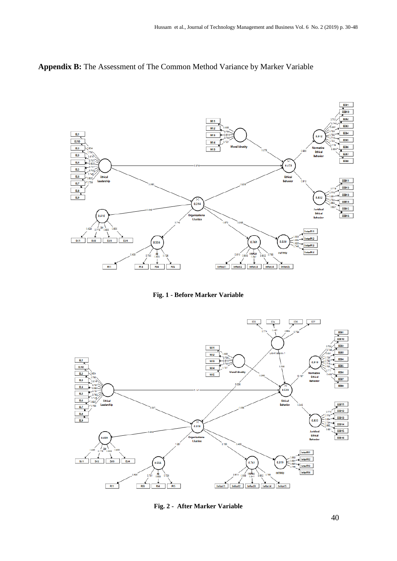## **Appendix B:** The Assessment of The Common Method Variance by Marker Variable



**Fig. 1 - Before Marker Variable**



**Fig. 2 - After Marker Variable**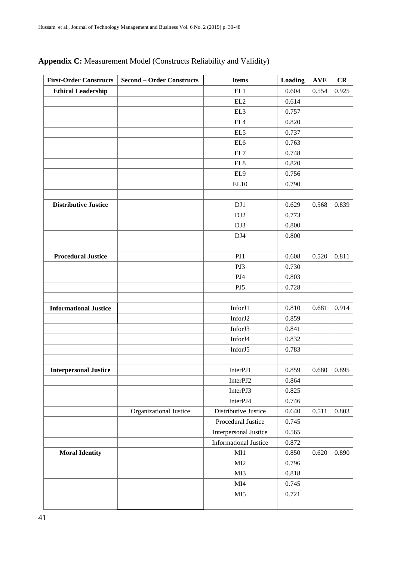| <b>First-Order Constructs</b> | <b>Second - Order Constructs</b> | <b>Items</b>                 | Loading | $\mathbf{AVE}$ | CR    |
|-------------------------------|----------------------------------|------------------------------|---------|----------------|-------|
| <b>Ethical Leadership</b>     |                                  | EL1                          | 0.604   | 0.554          | 0.925 |
|                               |                                  | EL2                          | 0.614   |                |       |
|                               |                                  | EL3                          | 0.757   |                |       |
|                               |                                  | $\rm{EL4}$                   | 0.820   |                |       |
|                               |                                  | EL <sub>5</sub>              | 0.737   |                |       |
|                               |                                  | EL <sub>6</sub>              | 0.763   |                |       |
|                               |                                  | EL7                          | 0.748   |                |       |
|                               |                                  | $\rm EL8$                    | 0.820   |                |       |
|                               |                                  | EL9                          | 0.756   |                |       |
|                               |                                  | EL10                         | 0.790   |                |       |
|                               |                                  |                              |         |                |       |
| <b>Distributive Justice</b>   |                                  | DJ1                          | 0.629   | 0.568          | 0.839 |
|                               |                                  | DJ <sub>2</sub>              | 0.773   |                |       |
|                               |                                  | DJ3                          | 0.800   |                |       |
|                               |                                  | DJ4                          | 0.800   |                |       |
|                               |                                  |                              |         |                |       |
| <b>Procedural Justice</b>     |                                  | PJ1                          | 0.608   | 0.520          | 0.811 |
|                               |                                  | PJ3                          | 0.730   |                |       |
|                               |                                  | PJ4                          | 0.803   |                |       |
|                               |                                  | PJ5                          | 0.728   |                |       |
|                               |                                  |                              |         |                |       |
| <b>Informational Justice</b>  |                                  | InforJ1                      | 0.810   | 0.681          | 0.914 |
|                               |                                  | InforJ2                      | 0.859   |                |       |
|                               |                                  | InforJ3                      | 0.841   |                |       |
|                               |                                  | InforJ4                      | 0.832   |                |       |
|                               |                                  | InforJ5                      | 0.783   |                |       |
|                               |                                  |                              |         |                |       |
| <b>Interpersonal Justice</b>  |                                  | InterPJ1                     | 0.859   | 0.680          | 0.895 |
|                               |                                  | InterPJ2                     | 0.864   |                |       |
|                               |                                  | InterPJ3                     | 0.825   |                |       |
|                               |                                  | InterPJ4                     | 0.746   |                |       |
|                               | Organizational Justice           | Distributive Justice         | 0.640   | 0.511          | 0.803 |
|                               |                                  | Procedural Justice           | 0.745   |                |       |
|                               |                                  | <b>Interpersonal Justice</b> | 0.565   |                |       |
|                               |                                  | <b>Informational Justice</b> | 0.872   |                |       |
| <b>Moral Identity</b>         |                                  | MI1                          | 0.850   | 0.620          | 0.890 |
|                               |                                  | MI2                          | 0.796   |                |       |
|                               |                                  | MI3                          | 0.818   |                |       |
|                               |                                  | MI4                          | 0.745   |                |       |
|                               |                                  | MI5                          | 0.721   |                |       |
|                               |                                  |                              |         |                |       |

## **Appendix C:** Measurement Model (Constructs Reliability and Validity)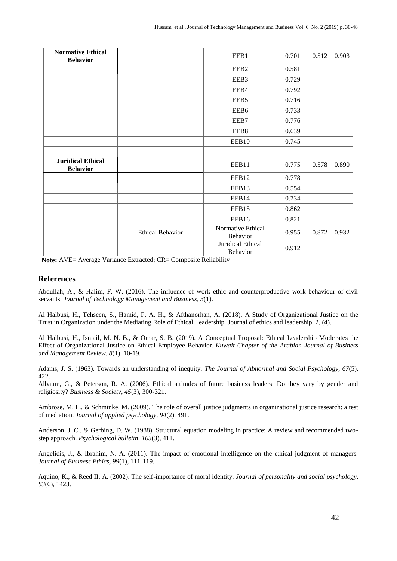| <b>Normative Ethical</b>                    |                         | EEB1                          | 0.701 | 0.512 | 0.903 |
|---------------------------------------------|-------------------------|-------------------------------|-------|-------|-------|
| <b>Behavior</b>                             |                         |                               |       |       |       |
|                                             |                         | EEB <sub>2</sub>              | 0.581 |       |       |
|                                             |                         | EEB3                          | 0.729 |       |       |
|                                             |                         | EEB4                          | 0.792 |       |       |
|                                             |                         | EEB5                          | 0.716 |       |       |
|                                             |                         | EEB6                          | 0.733 |       |       |
|                                             |                         | EEB7                          | 0.776 |       |       |
|                                             |                         | EEB8                          | 0.639 |       |       |
|                                             |                         | EEB10                         | 0.745 |       |       |
|                                             |                         |                               |       |       |       |
| <b>Juridical Ethical</b><br><b>Behavior</b> |                         | EEB11                         | 0.775 | 0.578 | 0.890 |
|                                             |                         | EEB12                         | 0.778 |       |       |
|                                             |                         | EEB13                         | 0.554 |       |       |
|                                             |                         | EEB14                         | 0.734 |       |       |
|                                             |                         | EEB15                         | 0.862 |       |       |
|                                             |                         | EEB16                         | 0.821 |       |       |
|                                             | <b>Ethical Behavior</b> | Normative Ethical<br>Behavior | 0.955 | 0.872 | 0.932 |
|                                             |                         | Juridical Ethical<br>Behavior | 0.912 |       |       |

**Note:** AVE= Average Variance Extracted; CR= Composite Reliability

#### **References**

Abdullah, A., & Halim, F. W. (2016). The influence of work ethic and counterproductive work behaviour of civil servants. *Journal of Technology Management and Business*, *3*(1).

Al Halbusi, H., Tehseen, S., Hamid, F. A. H., & Afthanorhan, A. (2018). A Study of Organizational Justice on the Trust in Organization under the Mediating Role of Ethical Leadership. Journal of ethics and leadership, 2, (4).

Al Halbusi, H., Ismail, M. N. B., & Omar, S. B. (2019). A Conceptual Proposal: Ethical Leadership Moderates the Effect of Organizational Justice on Ethical Employee Behavior. *Kuwait Chapter of the Arabian Journal of Business and Management Review*, *8*(1), 10-19.

Adams, J. S. (1963). Towards an understanding of inequity. *The Journal of Abnormal and Social Psychology, 67*(5), 422.

Albaum, G., & Peterson, R. A. (2006). Ethical attitudes of future business leaders: Do they vary by gender and religiosity? *Business & Society*, *45*(3), 300-321.

Ambrose, M. L., & Schminke, M. (2009). The role of overall justice judgments in organizational justice research: a test of mediation. *Journal of applied psychology, 94*(2), 491.

Anderson, J. C., & Gerbing, D. W. (1988). Structural equation modeling in practice: A review and recommended twostep approach. *Psychological bulletin, 103*(3), 411.

Angelidis, J., & Ibrahim, N. A. (2011). The impact of emotional intelligence on the ethical judgment of managers. *Journal of Business Ethics, 99*(1), 111-119.

Aquino, K., & Reed II, A. (2002). The self-importance of moral identity. *Journal of personality and social psychology, 83*(6), 1423.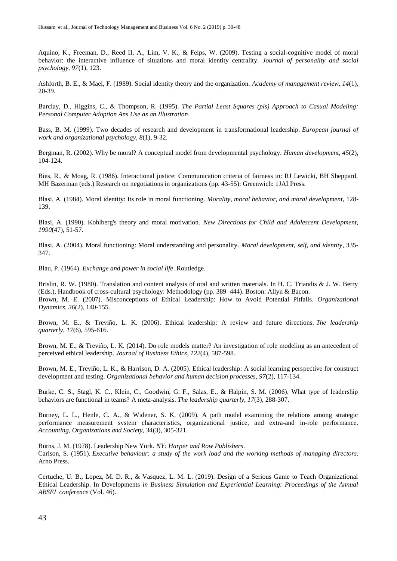Aquino, K., Freeman, D., Reed II, A., Lim, V. K., & Felps, W. (2009). Testing a social-cognitive model of moral behavior: the interactive influence of situations and moral identity centrality. *Journal of personality and social psychology, 97*(1), 123.

Ashforth, B. E., & Mael, F. (1989). Social identity theory and the organization. *Academy of management review, 14*(1), 20-39.

Barclay, D., Higgins, C., & Thompson, R. (1995). *The Partial Least Squares (pls) Approach to Casual Modeling: Personal Computer Adoption Ans Use as an Illustration*.

Bass, B. M. (1999). Two decades of research and development in transformational leadership. *European journal of work and organizational psychology*, *8*(1), 9-32.

Bergman, R. (2002). Why be moral? A conceptual model from developmental psychology. *Human development, 45*(2), 104-124.

Bies, R., & Moag, R. (1986). Interactional justice: Communication criteria of fairness in: RJ Lewicki, BH Sheppard, MH Bazerman (eds.) Research on negotiations in organizations (pp. 43-55): Greenwich: 1JAI Press.

Blasi, A. (1984). Moral identity: Its role in moral functioning. *Morality, moral behavior, and moral development*, 128- 139.

Blasi, A. (1990). Kohlberg's theory and moral motivation. *New Directions for Child and Adolescent Development, 1990*(47), 51-57.

Blasi, A. (2004). Moral functioning: Moral understanding and personality. *Moral development, self, and identity*, 335- 347.

Blau, P. (1964). *Exchange and power in social life*. Routledge.

Brislin, R. W. (1980). Translation and content analysis of oral and written materials. In H. C. Triandis & J. W. Berry (Eds.), Handbook of cross-cultural psychology: Methodology (pp. 389–444). Boston: Allyn & Bacon. Brown, M. E. (2007). Misconceptions of Ethical Leadership: How to Avoid Potential Pitfalls. *Organizational Dynamics, 36*(2), 140-155.

Brown, M. E., & Treviño, L. K. (2006). Ethical leadership: A review and future directions. *The leadership quarterly*, *17*(6), 595-616.

Brown, M. E., & Treviño, L. K. (2014). Do role models matter? An investigation of role modeling as an antecedent of perceived ethical leadership. *Journal of Business Ethics*, *122*(4), 587-598.

Brown, M. E., Treviño, L. K., & Harrison, D. A. (2005). Ethical leadership: A social learning perspective for construct development and testing. *Organizational behavior and human decision processes*, *97*(2), 117-134.

Burke, C. S., Stagl, K. C., Klein, C., Goodwin, G. F., Salas, E., & Halpin, S. M. (2006). What type of leadership behaviors are functional in teams? A meta-analysis. *The leadership quarterly*, *17*(3), 288-307.

Burney, L. L., Henle, C. A., & Widener, S. K. (2009). A path model examining the relations among strategic performance measurement system characteristics, organizational justice, and extra-and in-role performance. *Accounting, Organizations and Society, 34*(3), 305-321.

Burns, J. M. (1978). Leadership New York. *NY: Harper and Row Publishers*. Carlson, S. (1951). *Executive behaviour: a study of the work load and the working methods of managing directors*. Arno Press.

Certuche, U. B., Lopez, M. D. R., & Vasquez, L. M. L. (2019). Design of a Serious Game to Teach Organizational Ethical Leadership. In Developments *in Business Simulation and Experiential Learning: Proceedings of the Annual ABSEL conference* (Vol. 46).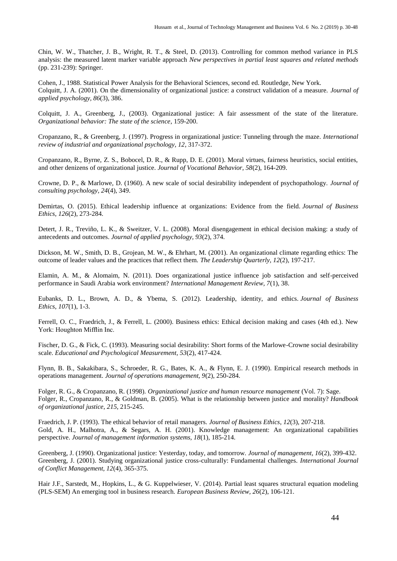Chin, W. W., Thatcher, J. B., Wright, R. T., & Steel, D. (2013). Controlling for common method variance in PLS analysis: the measured latent marker variable approach *New perspectives in partial least squares and related methods* (pp. 231-239): Springer.

Cohen, J., 1988. Statistical Power Analysis for the Behavioral Sciences, second ed. Routledge, New York. Colquitt, J. A. (2001). On the dimensionality of organizational justice: a construct validation of a measure. *Journal of applied psychology, 86*(3), 386.

Colquitt, J. A., Greenberg, J., (2003). Organizational justice: A fair assessment of the state of the literature. *Organizational behavior: The state of the science*, 159-200.

Cropanzano, R., & Greenberg, J. (1997). Progress in organizational justice: Tunneling through the maze. *International review of industrial and organizational psychology, 12*, 317-372.

Cropanzano, R., Byrne, Z. S., Bobocel, D. R., & Rupp, D. E. (2001). Moral virtues, fairness heuristics, social entities, and other denizens of organizational justice. *Journal of Vocational Behavior, 58*(2), 164-209.

Crowne, D. P., & Marlowe, D. (1960). A new scale of social desirability independent of psychopathology. *Journal of consulting psychology, 24*(4), 349.

Demirtas, O. (2015). Ethical leadership influence at organizations: Evidence from the field. *Journal of Business Ethics*, *126*(2), 273-284.

Detert, J. R., Treviño, L. K., & Sweitzer, V. L. (2008). Moral disengagement in ethical decision making: a study of antecedents and outcomes. *Journal of applied psychology, 93*(2), 374.

Dickson, M. W., Smith, D. B., Grojean, M. W., & Ehrhart, M. (2001). An organizational climate regarding ethics: The outcome of leader values and the practices that reflect them. *The Leadership Quarterly, 12*(2), 197-217.

Elamin, A. M., & Alomaim, N. (2011). Does organizational justice influence job satisfaction and self-perceived performance in Saudi Arabia work environment? *International Management Review, 7*(1), 38.

Eubanks, D. L., Brown, A. D., & Ybema, S. (2012). Leadership, identity, and ethics. *Journal of Business Ethics*, *107*(1), 1-3.

Ferrell, O. C., Fraedrich, J., & Ferrell, L. (2000). Business ethics: Ethical decision making and cases (4th ed.). New York: Houghton Mifflin Inc.

Fischer, D. G., & Fick, C. (1993). Measuring social desirability: Short forms of the Marlowe-Crowne social desirability scale. *Educational and Psychological Measurement, 53*(2), 417-424.

Flynn, B. B., Sakakibara, S., Schroeder, R. G., Bates, K. A., & Flynn, E. J. (1990). Empirical research methods in operations management. *Journal of operations management, 9*(2), 250-284.

Folger, R. G., & Cropanzano, R. (1998). *Organizational justice and human resource management* (Vol. 7): Sage. Folger, R., Cropanzano, R., & Goldman, B. (2005). What is the relationship between justice and morality? *Handbook of organizational justice*, *215*, 215-245.

Fraedrich, J. P. (1993). The ethical behavior of retail managers. *Journal of Business Ethics*, *12*(3), 207-218. Gold, A. H., Malhotra, A., & Segars, A. H. (2001). Knowledge management: An organizational capabilities perspective. *Journal of management information systems, 18*(1), 185-214.

Greenberg, J. (1990). Organizational justice: Yesterday, today, and tomorrow. *Journal of management, 16*(2), 399-432. Greenberg, J. (2001). Studying organizational justice cross-culturally: Fundamental challenges. *International Journal of Conflict Management, 12*(4), 365-375.

Hair J.F., Sarstedt, M., Hopkins, L., & G. Kuppelwieser, V. (2014). Partial least squares structural equation modeling (PLS-SEM) An emerging tool in business research. *European Business Review, 26*(2), 106-121.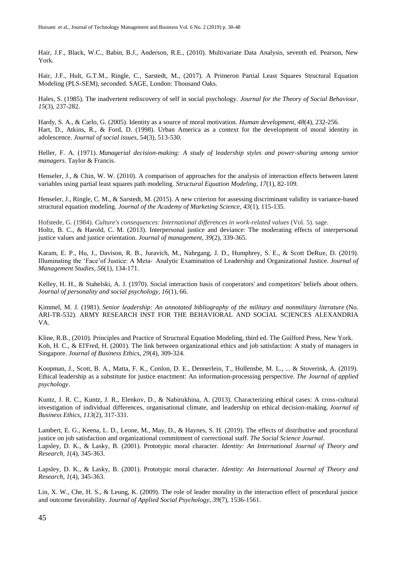Hair, J.F., Black, W.C., Babin, B.J., Anderson, R.E., (2010). Multivariate Data Analysis, seventh ed. Pearson, New York.

Hair, J.F., Hult, G.T.M., Ringle, C., Sarstedt, M., (2017). A Primeron Partial Least Squares Structural Equation Modeling (PLS-SEM), seconded. SAGE, London: Thousand Oaks.

Hales, S. (1985). The inadvertent rediscovery of self in social psychology. *Journal for the Theory of Social Behaviour, 15*(3), 237-282.

Hardy, S. A., & Carlo, G. (2005). Identity as a source of moral motivation. *Human development, 48*(4), 232-256. Hart, D., Atkins, R., & Ford, D. (1998). Urban America as a context for the development of moral identity in adolescence. *Journal of social issues, 54*(3), 513-530.

Heller, F. A. (1971). *Managerial decision-making: A study of leadership styles and power-sharing among senior managers*. Taylor & Francis.

Henseler, J., & Chin, W. W. (2010). A comparison of approaches for the analysis of interaction effects between latent variables using partial least squares path modeling. *Structural Equation Modeling, 17*(1), 82-109.

Henseler, J., Ringle, C. M., & Sarstedt, M. (2015). A new criterion for assessing discriminant validity in variance-based structural equation modeling. *Journal of the Academy of Marketing Science, 43*(1), 115-135.

Hofstede, G. (1984). *Culture's consequences: International differences in work-related values* (Vol. 5). sage. Holtz, B. C., & Harold, C. M. (2013). Interpersonal justice and deviance: The moderating effects of interpersonal justice values and justice orientation. *Journal of management, 39*(2), 339-365.

Karam, E. P., Hu, J., Davison, R. B., Juravich, M., Nahrgang, J. D., Humphrey, S. E., & Scott DeRue, D. (2019). Illuminating the 'Face'of Justice: A Meta‐ Analytic Examination of Leadership and Organizational Justice. *Journal of Management Studies*, *56*(1), 134-171.

Kelley, H. H., & Stahelski, A. J. (1970). Social interaction basis of cooperators' and competitors' beliefs about others. *Journal of personality and social psychology, 16*(1), 66.

Kimmel, M. J. (1981). *Senior leadership: An annotated bibliography of the military and nonmilitary literature* (No. ARI-TR-532). ARMY RESEARCH INST FOR THE BEHAVIORAL AND SOCIAL SCIENCES ALEXANDRIA VA.

Kline, R.B., (2010). Principles and Practice of Structural Equation Modeling, third ed. The Guilford Press, New York. Koh, H. C., & El'Fred, H. (2001). The link between organizational ethics and job satisfaction: A study of managers in Singapore. *Journal of Business Ethics, 29*(4), 309-324.

Koopman, J., Scott, B. A., Matta, F. K., Conlon, D. E., Dennerlein, T., Hollensbe, M. L., ... & Stoverink, A. (2019). Ethical leadership as a substitute for justice enactment: An information-processing perspective. *The Journal of applied psychology*.

Kuntz, J. R. C., Kuntz, J. R., Elenkov, D., & Nabirukhina, A. (2013). Characterizing ethical cases: A cross-cultural investigation of individual differences, organisational climate, and leadership on ethical decision-making. *Journal of Business Ethics*, *113*(2), 317-331.

Lambert, E. G., Keena, L. D., Leone, M., May, D., & Haynes, S. H. (2019). The effects of distributive and procedural justice on job satisfaction and organizational commitment of correctional staff. *The Social Science Journal*. Lapsley, D. K., & Lasky, B. (2001). Prototypic moral character. *Identity: An International Journal of Theory and Research, 1*(4), 345-363.

Lapsley, D. K., & Lasky, B. (2001). Prototypic moral character. *Identity: An International Journal of Theory and Research, 1*(4), 345-363.

Lin, X. W., Che, H. S., & Leung, K. (2009). The role of leader morality in the interaction effect of procedural justice and outcome favorability. *Journal of Applied Social Psychology, 39*(7), 1536-1561.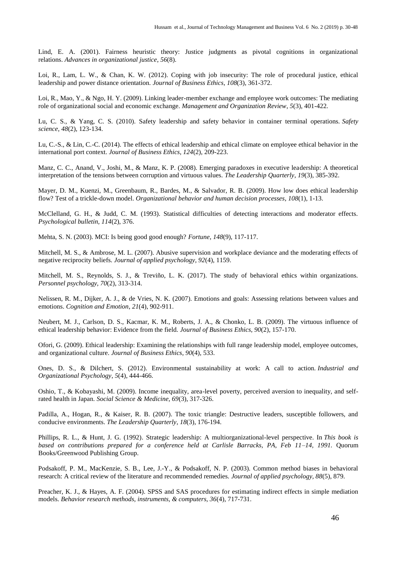Lind, E. A. (2001). Fairness heuristic theory: Justice judgments as pivotal cognitions in organizational relations. *Advances in organizational justice*, *56*(8).

Loi, R., Lam, L. W., & Chan, K. W. (2012). Coping with job insecurity: The role of procedural justice, ethical leadership and power distance orientation. *Journal of Business Ethics*, *108*(3), 361-372.

Loi, R., Mao, Y., & Ngo, H. Y. (2009). Linking leader-member exchange and employee work outcomes: The mediating role of organizational social and economic exchange. *Management and Organization Review*, *5*(3), 401-422.

Lu, C. S., & Yang, C. S. (2010). Safety leadership and safety behavior in container terminal operations. *Safety science*, *48*(2), 123-134.

Lu, C.-S., & Lin, C.-C. (2014). The effects of ethical leadership and ethical climate on employee ethical behavior in the international port context. *Journal of Business Ethics, 124*(2), 209-223.

Manz, C. C., Anand, V., Joshi, M., & Manz, K. P. (2008). Emerging paradoxes in executive leadership: A theoretical interpretation of the tensions between corruption and virtuous values. *The Leadership Quarterly*, *19*(3), 385-392.

Mayer, D. M., Kuenzi, M., Greenbaum, R., Bardes, M., & Salvador, R. B. (2009). How low does ethical leadership flow? Test of a trickle-down model. *Organizational behavior and human decision processes*, *108*(1), 1-13.

McClelland, G. H., & Judd, C. M. (1993). Statistical difficulties of detecting interactions and moderator effects. *Psychological bulletin, 114*(2), 376.

Mehta, S. N. (2003). MCI: Is being good good enough? *Fortune*, *148*(9), 117-117.

Mitchell, M. S., & Ambrose, M. L. (2007). Abusive supervision and workplace deviance and the moderating effects of negative reciprocity beliefs. *Journal of applied psychology, 92*(4), 1159.

Mitchell, M. S., Reynolds, S. J., & Treviño, L. K. (2017). The study of behavioral ethics within organizations. *Personnel psychology, 70*(2), 313-314.

Nelissen, R. M., Dijker, A. J., & de Vries, N. K. (2007). Emotions and goals: Assessing relations between values and emotions. *Cognition and Emotion*, *21*(4), 902-911.

Neubert, M. J., Carlson, D. S., Kacmar, K. M., Roberts, J. A., & Chonko, L. B. (2009). The virtuous influence of ethical leadership behavior: Evidence from the field. *Journal of Business Ethics*, *90*(2), 157-170.

Ofori, G. (2009). Ethical leadership: Examining the relationships with full range leadership model, employee outcomes, and organizational culture. *Journal of Business Ethics*, *90*(4), 533.

Ones, D. S., & Dilchert, S. (2012). Environmental sustainability at work: A call to action. *Industrial and Organizational Psychology*, *5*(4), 444-466.

Oshio, T., & Kobayashi, M. (2009). Income inequality, area-level poverty, perceived aversion to inequality, and selfrated health in Japan. *Social Science & Medicine, 69*(3), 317-326.

Padilla, A., Hogan, R., & Kaiser, R. B. (2007). The toxic triangle: Destructive leaders, susceptible followers, and conducive environments. *The Leadership Quarterly*, *18*(3), 176-194.

Phillips, R. L., & Hunt, J. G. (1992). Strategic leadership: A multiorganizational-level perspective. In *This book is based on contributions prepared for a conference held at Carlisle Barracks, PA, Feb 11–14, 1991.* Quorum Books/Greenwood Publishing Group.

Podsakoff, P. M., MacKenzie, S. B., Lee, J.-Y., & Podsakoff, N. P. (2003). Common method biases in behavioral research: A critical review of the literature and recommended remedies. *Journal of applied psychology, 88*(5), 879.

Preacher, K. J., & Hayes, A. F. (2004). SPSS and SAS procedures for estimating indirect effects in simple mediation models. *Behavior research methods, instruments, & computers, 36*(4), 717-731.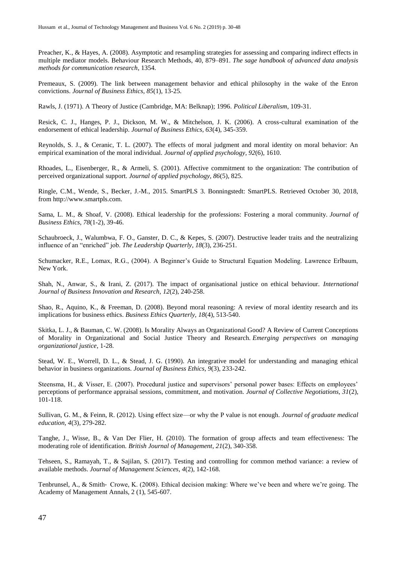Preacher, K., & Hayes, A. (2008). Asymptotic and resampling strategies for assessing and comparing indirect effects in multiple mediator models. Behaviour Research Methods, 40, 879–891. *The sage handbook of advanced data analysis methods for communication research*, 1354.

Premeaux, S. (2009). The link between management behavior and ethical philosophy in the wake of the Enron convictions. *Journal of Business Ethics*, *85*(1), 13-25.

Rawls, J. (1971). A Theory of Justice (Cambridge, MA: Belknap); 1996. *Political Liberalism*, 109-31.

Resick, C. J., Hanges, P. J., Dickson, M. W., & Mitchelson, J. K. (2006). A cross-cultural examination of the endorsement of ethical leadership. *Journal of Business Ethics, 63*(4), 345-359.

Reynolds, S. J., & Ceranic, T. L. (2007). The effects of moral judgment and moral identity on moral behavior: An empirical examination of the moral individual. *Journal of applied psychology, 92*(6), 1610.

Rhoades, L., Eisenberger, R., & Armeli, S. (2001). Affective commitment to the organization: The contribution of perceived organizational support. *Journal of applied psychology, 86*(5), 825.

Ringle, C.M., Wende, S., Becker, J.-M., 2015. SmartPLS 3. Bonningstedt: SmartPLS. Retrieved October 30, 2018, fro[m http://www.smartpls.com.](http://www.smartpls.com/)

Sama, L. M., & Shoaf, V. (2008). Ethical leadership for the professions: Fostering a moral community. *Journal of Business Ethics*, *78*(1-2), 39-46.

Schaubroeck, J., Walumbwa, F. O., Ganster, D. C., & Kepes, S. (2007). Destructive leader traits and the neutralizing influence of an "enriched" job. *The Leadership Quarterly*, *18*(3), 236-251.

Schumacker, R.E., Lomax, R.G., (2004). A Beginner's Guide to Structural Equation Modeling. Lawrence Erlbaum, New York.

Shah, N., Anwar, S., & Irani, Z. (2017). The impact of organisational justice on ethical behaviour. *International Journal of Business Innovation and Research, 12*(2), 240-258.

Shao, R., Aquino, K., & Freeman, D. (2008). Beyond moral reasoning: A review of moral identity research and its implications for business ethics. *Business Ethics Quarterly, 18*(4), 513-540.

Skitka, L. J., & Bauman, C. W. (2008). Is Morality Always an Organizational Good? A Review of Current Conceptions of Morality in Organizational and Social Justice Theory and Research. *Emerging perspectives on managing organizational justice*, 1-28.

Stead, W. E., Worrell, D. L., & Stead, J. G. (1990). An integrative model for understanding and managing ethical behavior in business organizations. *Journal of Business Ethics*, *9*(3), 233-242.

Steensma, H., & Visser, E. (2007). Procedural justice and supervisors' personal power bases: Effects on employees' perceptions of performance appraisal sessions, commitment, and motivation. *Journal of Collective Negotiations, 31*(2), 101-118.

Sullivan, G. M., & Feinn, R. (2012). Using effect size—or why the P value is not enough. *Journal of graduate medical education, 4*(3), 279-282.

Tanghe, J., Wisse, B., & Van Der Flier, H. (2010). The formation of group affects and team effectiveness: The moderating role of identification. *British Journal of Management*, *21*(2), 340-358.

Tehseen, S., Ramayah, T., & Sajilan, S. (2017). Testing and controlling for common method variance: a review of available methods. *Journal of Management Sciences*, *4*(2), 142-168.

Tenbrunsel, A., & Smith- Crowe, K. (2008). Ethical decision making: Where we've been and where we're going. The Academy of Management Annals, 2 (1), 545-607.